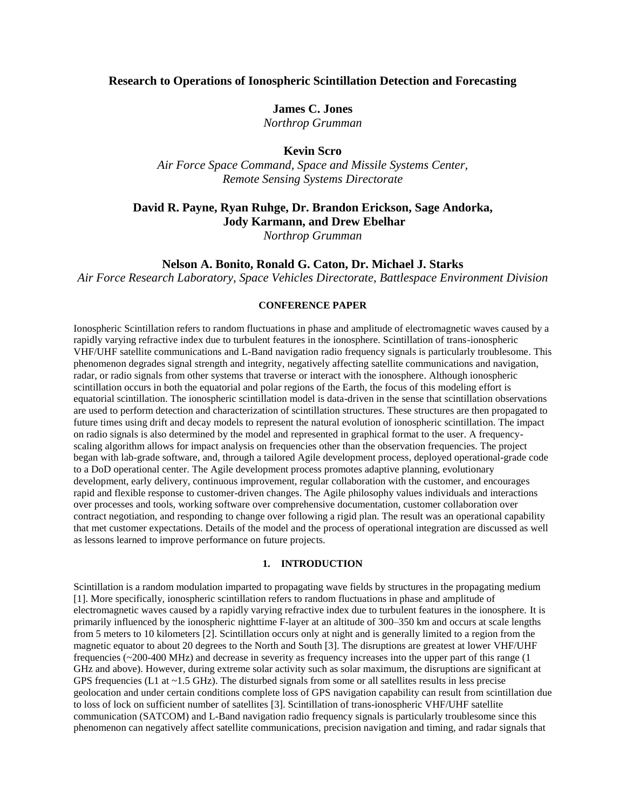## **Research to Operations of Ionospheric Scintillation Detection and Forecasting**

### **James C. Jones**

*Northrop Grumman*

# **Kevin Scro**

*Air Force Space Command, Space and Missile Systems Center, Remote Sensing Systems Directorate*

# **David R. Payne, Ryan Ruhge, Dr. Brandon Erickson, Sage Andorka, Jody Karmann, and Drew Ebelhar**

*Northrop Grumman*

## **Nelson A. Bonito, Ronald G. Caton, Dr. Michael J. Starks**

*Air Force Research Laboratory, Space Vehicles Directorate, Battlespace Environment Division*

#### **CONFERENCE PAPER**

Ionospheric Scintillation refers to random fluctuations in phase and amplitude of electromagnetic waves caused by a rapidly varying refractive index due to turbulent features in the ionosphere. Scintillation of trans-ionospheric VHF/UHF satellite communications and L-Band navigation radio frequency signals is particularly troublesome. This phenomenon degrades signal strength and integrity, negatively affecting satellite communications and navigation, radar, or radio signals from other systems that traverse or interact with the ionosphere. Although ionospheric scintillation occurs in both the equatorial and polar regions of the Earth, the focus of this modeling effort is equatorial scintillation. The ionospheric scintillation model is data-driven in the sense that scintillation observations are used to perform detection and characterization of scintillation structures. These structures are then propagated to future times using drift and decay models to represent the natural evolution of ionospheric scintillation. The impact on radio signals is also determined by the model and represented in graphical format to the user. A frequencyscaling algorithm allows for impact analysis on frequencies other than the observation frequencies. The project began with lab-grade software, and, through a tailored Agile development process, deployed operational-grade code to a DoD operational center. The Agile development process promotes adaptive planning, evolutionary development, early delivery, continuous improvement, regular collaboration with the customer, and encourages rapid and flexible response to customer-driven changes. The Agile philosophy values individuals and interactions over processes and tools, working software over comprehensive documentation, customer collaboration over contract negotiation, and responding to change over following a rigid plan. The result was an operational capability that met customer expectations. Details of the model and the process of operational integration are discussed as well as lessons learned to improve performance on future projects.

#### **1. INTRODUCTION**

Scintillation is a random modulation imparted to propagating wave fields by structures in the propagating medium [1]. More specifically, ionospheric scintillation refers to random fluctuations in phase and amplitude of electromagnetic waves caused by a rapidly varying refractive index due to turbulent features in the ionosphere. It is primarily influenced by the ionospheric nighttime F-layer at an altitude of 300–350 km and occurs at scale lengths from 5 meters to 10 kilometers [2]. Scintillation occurs only at night and is generally limited to a region from the magnetic equator to about 20 degrees to the North and South [3]. The disruptions are greatest at lower VHF/UHF frequencies (~200-400 MHz) and decrease in severity as frequency increases into the upper part of this range (1 GHz and above). However, during extreme solar activity such as solar maximum, the disruptions are significant at GPS frequencies (L1 at  $\sim$  1.5 GHz). The disturbed signals from some or all satellites results in less precise geolocation and under certain conditions complete loss of GPS navigation capability can result from scintillation due to loss of lock on sufficient number of satellites [3]. Scintillation of trans-ionospheric VHF/UHF satellite communication (SATCOM) and L-Band navigation radio frequency signals is particularly troublesome since this phenomenon can negatively affect satellite communications, precision navigation and timing, and radar signals that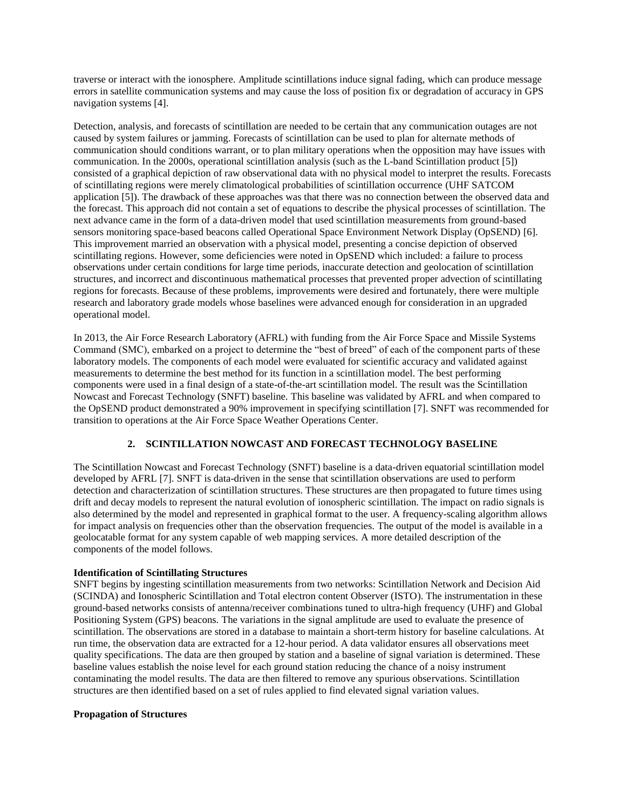traverse or interact with the ionosphere. Amplitude scintillations induce signal fading, which can produce message errors in satellite communication systems and may cause the loss of position fix or degradation of accuracy in GPS navigation systems [4].

Detection, analysis, and forecasts of scintillation are needed to be certain that any communication outages are not caused by system failures or jamming. Forecasts of scintillation can be used to plan for alternate methods of communication should conditions warrant, or to plan military operations when the opposition may have issues with communication. In the 2000s, operational scintillation analysis (such as the L-band Scintillation product [5]) consisted of a graphical depiction of raw observational data with no physical model to interpret the results. Forecasts of scintillating regions were merely climatological probabilities of scintillation occurrence (UHF SATCOM application [5]). The drawback of these approaches was that there was no connection between the observed data and the forecast. This approach did not contain a set of equations to describe the physical processes of scintillation. The next advance came in the form of a data-driven model that used scintillation measurements from ground-based sensors monitoring space-based beacons called Operational Space Environment Network Display (OpSEND) [6]. This improvement married an observation with a physical model, presenting a concise depiction of observed scintillating regions. However, some deficiencies were noted in OpSEND which included: a failure to process observations under certain conditions for large time periods, inaccurate detection and geolocation of scintillation structures, and incorrect and discontinuous mathematical processes that prevented proper advection of scintillating regions for forecasts. Because of these problems, improvements were desired and fortunately, there were multiple research and laboratory grade models whose baselines were advanced enough for consideration in an upgraded operational model.

In 2013, the Air Force Research Laboratory (AFRL) with funding from the Air Force Space and Missile Systems Command (SMC), embarked on a project to determine the "best of breed" of each of the component parts of these laboratory models. The components of each model were evaluated for scientific accuracy and validated against measurements to determine the best method for its function in a scintillation model. The best performing components were used in a final design of a state-of-the-art scintillation model. The result was the Scintillation Nowcast and Forecast Technology (SNFT) baseline. This baseline was validated by AFRL and when compared to the OpSEND product demonstrated a 90% improvement in specifying scintillation [7]. SNFT was recommended for transition to operations at the Air Force Space Weather Operations Center.

## **2. SCINTILLATION NOWCAST AND FORECAST TECHNOLOGY BASELINE**

The Scintillation Nowcast and Forecast Technology (SNFT) baseline is a data-driven equatorial scintillation model developed by AFRL [7]. SNFT is data-driven in the sense that scintillation observations are used to perform detection and characterization of scintillation structures. These structures are then propagated to future times using drift and decay models to represent the natural evolution of ionospheric scintillation. The impact on radio signals is also determined by the model and represented in graphical format to the user. A frequency-scaling algorithm allows for impact analysis on frequencies other than the observation frequencies. The output of the model is available in a geolocatable format for any system capable of web mapping services. A more detailed description of the components of the model follows.

### **Identification of Scintillating Structures**

SNFT begins by ingesting scintillation measurements from two networks: Scintillation Network and Decision Aid (SCINDA) and Ionospheric Scintillation and Total electron content Observer (ISTO). The instrumentation in these ground-based networks consists of antenna/receiver combinations tuned to ultra-high frequency (UHF) and Global Positioning System (GPS) beacons. The variations in the signal amplitude are used to evaluate the presence of scintillation. The observations are stored in a database to maintain a short-term history for baseline calculations. At run time, the observation data are extracted for a 12-hour period. A data validator ensures all observations meet quality specifications. The data are then grouped by station and a baseline of signal variation is determined. These baseline values establish the noise level for each ground station reducing the chance of a noisy instrument contaminating the model results. The data are then filtered to remove any spurious observations. Scintillation structures are then identified based on a set of rules applied to find elevated signal variation values.

#### **Propagation of Structures**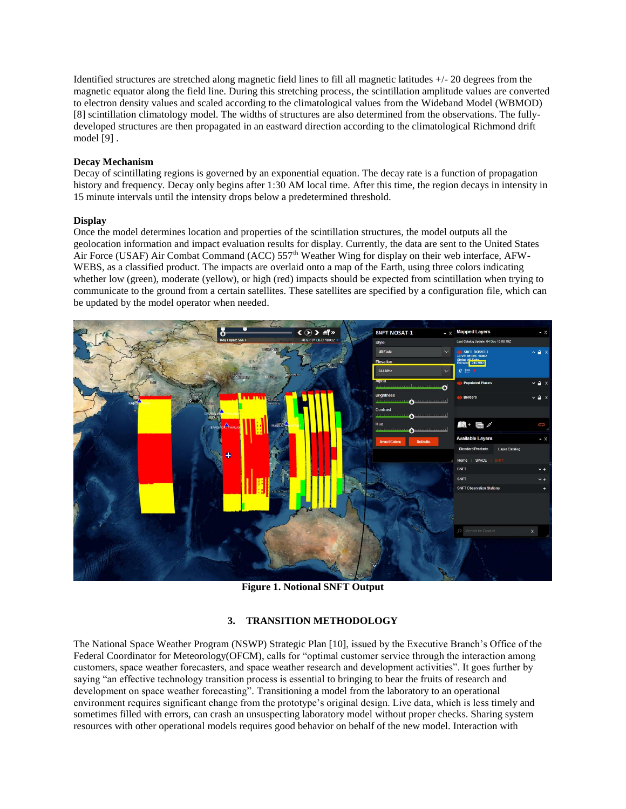Identified structures are stretched along magnetic field lines to fill all magnetic latitudes +/- 20 degrees from the magnetic equator along the field line. During this stretching process, the scintillation amplitude values are converted to electron density values and scaled according to the climatological values from the Wideband Model (WBMOD) [8] scintillation climatology model. The widths of structures are also determined from the observations. The fullydeveloped structures are then propagated in an eastward direction according to the climatological Richmond drift model [9] .

#### **Decay Mechanism**

Decay of scintillating regions is governed by an exponential equation. The decay rate is a function of propagation history and frequency. Decay only begins after 1:30 AM local time. After this time, the region decays in intensity in 15 minute intervals until the intensity drops below a predetermined threshold.

#### **Display**

Once the model determines location and properties of the scintillation structures, the model outputs all the geolocation information and impact evaluation results for display. Currently, the data are sent to the United States Air Force (USAF) Air Combat Command (ACC) 557<sup>th</sup> Weather Wing for display on their web interface, AFW-WEBS, as a classified product. The impacts are overlaid onto a map of the Earth, using three colors indicating whether low (green), moderate (yellow), or high (red) impacts should be expected from scintillation when trying to communicate to the ground from a certain satellites. These satellites are specified by a configuration file, which can be updated by the model operator when needed.



**Figure 1. Notional SNFT Output**

## **3. TRANSITION METHODOLOGY**

The National Space Weather Program (NSWP) Strategic Plan [10], issued by the Executive Branch's Office of the Federal Coordinator for Meteorology(OFCM), calls for "optimal customer service through the interaction among customers, space weather forecasters, and space weather research and development activities". It goes further by saying "an effective technology transition process is essential to bringing to bear the fruits of research and development on space weather forecasting". Transitioning a model from the laboratory to an operational environment requires significant change from the prototype's original design. Live data, which is less timely and sometimes filled with errors, can crash an unsuspecting laboratory model without proper checks. Sharing system resources with other operational models requires good behavior on behalf of the new model. Interaction with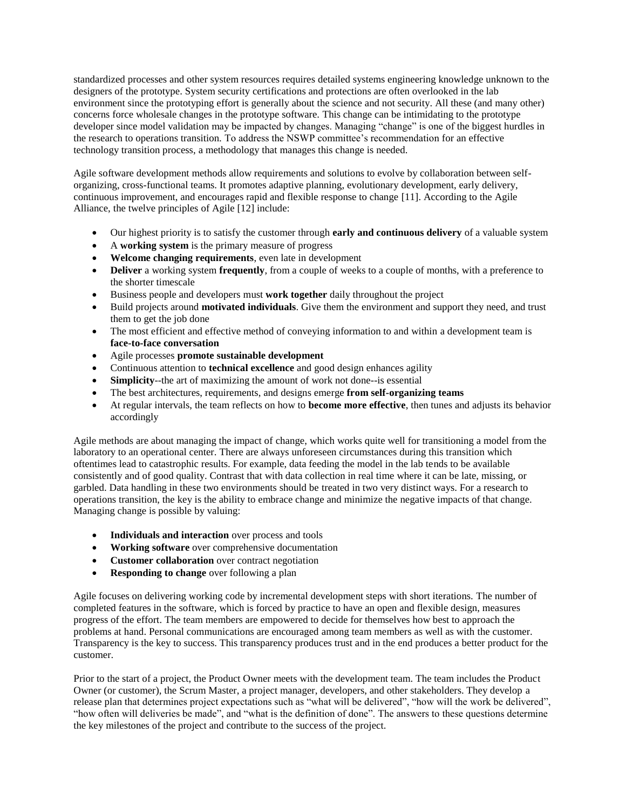standardized processes and other system resources requires detailed systems engineering knowledge unknown to the designers of the prototype. System security certifications and protections are often overlooked in the lab environment since the prototyping effort is generally about the science and not security. All these (and many other) concerns force wholesale changes in the prototype software. This change can be intimidating to the prototype developer since model validation may be impacted by changes. Managing "change" is one of the biggest hurdles in the research to operations transition. To address the NSWP committee's recommendation for an effective technology transition process, a methodology that manages this change is needed.

Agile software development methods allow requirements and solutions to evolve by collaboration between selforganizing, cross-functional teams. It promotes adaptive planning, evolutionary development, early delivery, continuous improvement, and encourages rapid and flexible response to change [11]. According to the Agile Alliance, the twelve principles of Agile [12] include:

- Our highest priority is to satisfy the customer through **early and continuous delivery** of a valuable system
- A **working system** is the primary measure of progress
- **Welcome changing requirements**, even late in development
- **Deliver** a working system **frequently**, from a couple of weeks to a couple of months, with a preference to the shorter timescale
- Business people and developers must **work together** daily throughout the project
- Build projects around **motivated individuals**. Give them the environment and support they need, and trust them to get the job done
- The most efficient and effective method of conveying information to and within a development team is **face-to-face conversation**
- Agile processes **promote sustainable development**
- Continuous attention to **technical excellence** and good design enhances agility
- **Simplicity**--the art of maximizing the amount of work not done--is essential
- The best architectures, requirements, and designs emerge **from self-organizing teams**
- At regular intervals, the team reflects on how to **become more effective**, then tunes and adjusts its behavior accordingly

Agile methods are about managing the impact of change, which works quite well for transitioning a model from the laboratory to an operational center. There are always unforeseen circumstances during this transition which oftentimes lead to catastrophic results. For example, data feeding the model in the lab tends to be available consistently and of good quality. Contrast that with data collection in real time where it can be late, missing, or garbled. Data handling in these two environments should be treated in two very distinct ways. For a research to operations transition, the key is the ability to embrace change and minimize the negative impacts of that change. Managing change is possible by valuing:

- **Individuals and interaction** over process and tools
- **Working software** over comprehensive documentation
- **Customer collaboration** over contract negotiation
- **• Responding to change** over following a plan

Agile focuses on delivering working code by incremental development steps with short iterations. The number of completed features in the software, which is forced by practice to have an open and flexible design, measures progress of the effort. The team members are empowered to decide for themselves how best to approach the problems at hand. Personal communications are encouraged among team members as well as with the customer. Transparency is the key to success. This transparency produces trust and in the end produces a better product for the customer.

Prior to the start of a project, the Product Owner meets with the development team. The team includes the Product Owner (or customer), the Scrum Master, a project manager, developers, and other stakeholders. They develop a release plan that determines project expectations such as "what will be delivered", "how will the work be delivered", "how often will deliveries be made", and "what is the definition of done". The answers to these questions determine the key milestones of the project and contribute to the success of the project.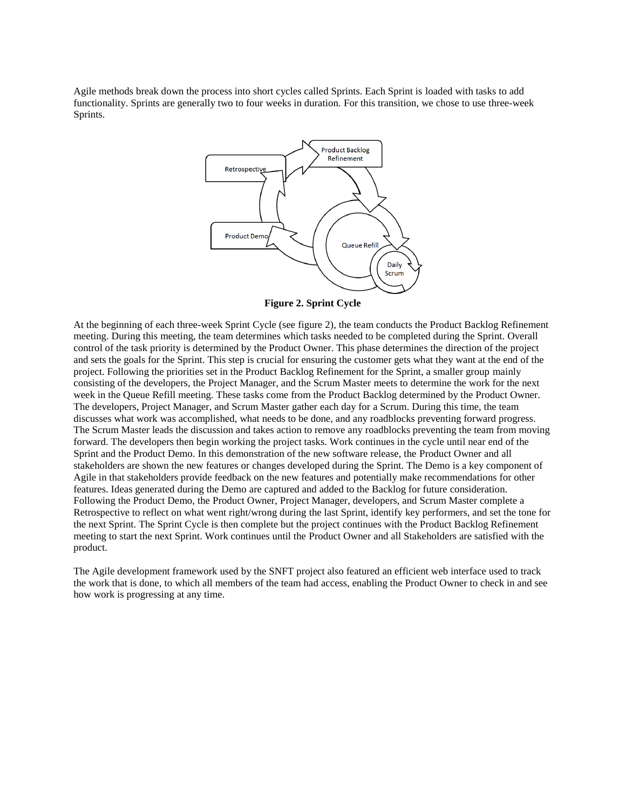Agile methods break down the process into short cycles called Sprints. Each Sprint is loaded with tasks to add functionality. Sprints are generally two to four weeks in duration. For this transition, we chose to use three-week Sprints.



**Figure 2. Sprint Cycle**

At the beginning of each three-week Sprint Cycle (see figure 2), the team conducts the Product Backlog Refinement meeting. During this meeting, the team determines which tasks needed to be completed during the Sprint. Overall control of the task priority is determined by the Product Owner. This phase determines the direction of the project and sets the goals for the Sprint. This step is crucial for ensuring the customer gets what they want at the end of the project. Following the priorities set in the Product Backlog Refinement for the Sprint, a smaller group mainly consisting of the developers, the Project Manager, and the Scrum Master meets to determine the work for the next week in the Queue Refill meeting. These tasks come from the Product Backlog determined by the Product Owner. The developers, Project Manager, and Scrum Master gather each day for a Scrum. During this time, the team discusses what work was accomplished, what needs to be done, and any roadblocks preventing forward progress. The Scrum Master leads the discussion and takes action to remove any roadblocks preventing the team from moving forward. The developers then begin working the project tasks. Work continues in the cycle until near end of the Sprint and the Product Demo. In this demonstration of the new software release, the Product Owner and all stakeholders are shown the new features or changes developed during the Sprint. The Demo is a key component of Agile in that stakeholders provide feedback on the new features and potentially make recommendations for other features. Ideas generated during the Demo are captured and added to the Backlog for future consideration. Following the Product Demo, the Product Owner, Project Manager, developers, and Scrum Master complete a Retrospective to reflect on what went right/wrong during the last Sprint, identify key performers, and set the tone for the next Sprint. The Sprint Cycle is then complete but the project continues with the Product Backlog Refinement meeting to start the next Sprint. Work continues until the Product Owner and all Stakeholders are satisfied with the product.

The Agile development framework used by the SNFT project also featured an efficient web interface used to track the work that is done, to which all members of the team had access, enabling the Product Owner to check in and see how work is progressing at any time.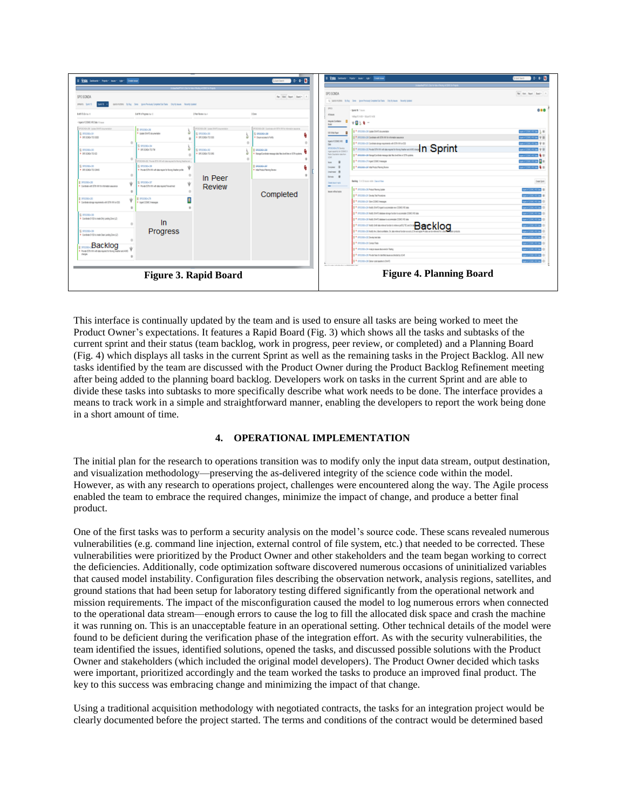

This interface is continually updated by the team and is used to ensure all tasks are being worked to meet the Product Owner's expectations. It features a Rapid Board (Fig. 3) which shows all the tasks and subtasks of the current sprint and their status (team backlog, work in progress, peer review, or completed) and a Planning Board (Fig. 4) which displays all tasks in the current Sprint as well as the remaining tasks in the Project Backlog. All new tasks identified by the team are discussed with the Product Owner during the Product Backlog Refinement meeting after being added to the planning board backlog. Developers work on tasks in the current Sprint and are able to divide these tasks into subtasks to more specifically describe what work needs to be done. The interface provides a means to track work in a simple and straightforward manner, enabling the developers to report the work being done in a short amount of time.

### **4. OPERATIONAL IMPLEMENTATION**

The initial plan for the research to operations transition was to modify only the input data stream, output destination, and visualization methodology—preserving the as-delivered integrity of the science code within the model. However, as with any research to operations project, challenges were encountered along the way. The Agile process enabled the team to embrace the required changes, minimize the impact of change, and produce a better final product.

One of the first tasks was to perform a security analysis on the model's source code. These scans revealed numerous vulnerabilities (e.g. command line injection, external control of file system, etc.) that needed to be corrected. These vulnerabilities were prioritized by the Product Owner and other stakeholders and the team began working to correct the deficiencies. Additionally, code optimization software discovered numerous occasions of uninitialized variables that caused model instability. Configuration files describing the observation network, analysis regions, satellites, and ground stations that had been setup for laboratory testing differed significantly from the operational network and mission requirements. The impact of the misconfiguration caused the model to log numerous errors when connected to the operational data stream—enough errors to cause the log to fill the allocated disk space and crash the machine it was running on. This is an unacceptable feature in an operational setting. Other technical details of the model were found to be deficient during the verification phase of the integration effort. As with the security vulnerabilities, the team identified the issues, identified solutions, opened the tasks, and discussed possible solutions with the Product Owner and stakeholders (which included the original model developers). The Product Owner decided which tasks were important, prioritized accordingly and the team worked the tasks to produce an improved final product. The key to this success was embracing change and minimizing the impact of that change.

Using a traditional acquisition methodology with negotiated contracts, the tasks for an integration project would be clearly documented before the project started. The terms and conditions of the contract would be determined based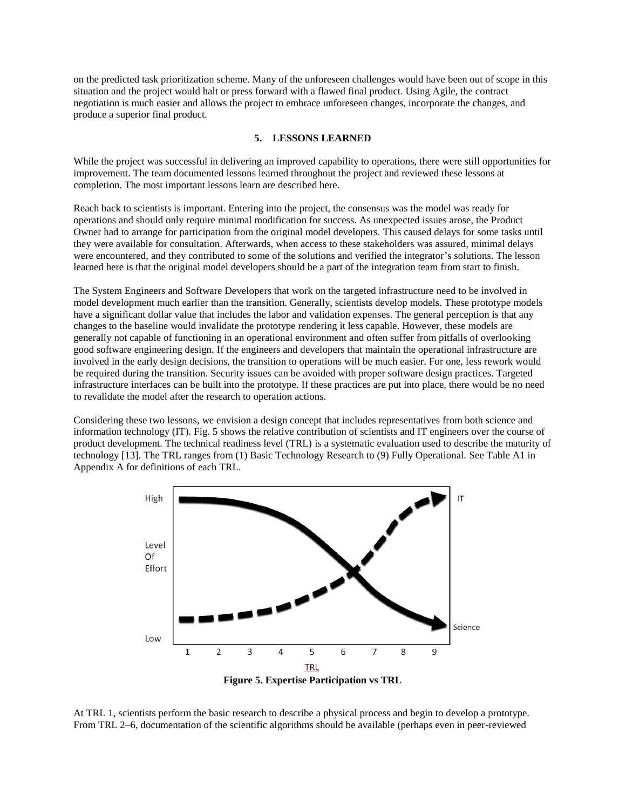on the predicted task prioritization scheme. Many of the unforeseen challenges would have been out of scope in this situation and the project would halt or press forward with a flawed final product. Using Agile, the contract negotiation is much easier and allows the project to embrace unforeseen changes, incorporate the changes, and produce a superior final product.

#### **5. LESSONS LEARNED**

While the project was successful in delivering an improved capability to operations, there were still opportunities for improvement. The team documented lessons learned throughout the project and reviewed these lessons at completion. The most important lessons learn are described here.

Reach back to scientists is important. Entering into the project, the consensus was the model was ready for operations and should only require minimal modification for success. As unexpected issues arose, the Product Owner had to arrange for participation from the original model developers. This caused delays for some tasks until they were available for consultation. Afterwards, when access to these stakeholders was assured, minimal delays were encountered, and they contributed to some of the solutions and verified the integrator's solutions. The lesson learned here is that the original model developers should be a part of the integration team from start to finish.

The System Engineers and Software Developers that work on the targeted infrastructure need to be involved in model development much earlier than the transition. Generally, scientists develop models. These prototype models have a significant dollar value that includes the labor and validation expenses. The general perception is that any changes to the baseline would invalidate the prototype rendering it less capable. However, these models are generally not capable of functioning in an operational environment and often suffer from pitfalls of overlooking good software engineering design. If the engineers and developers that maintain the operational infrastructure are involved in the early design decisions, the transition to operations will be much easier. For one, less rework would be required during the transition. Security issues can be avoided with proper software design practices. Targeted infrastructure interfaces can be built into the prototype. If these practices are put into place, there would be no need to revalidate the model after the research to operation actions.

Considering these two lessons, we envision a design concept that includes representatives from both science and information technology (IT). Fig. 5 shows the relative contribution of scientists and IT engineers over the course of product development. The technical readiness level (TRL) is a systematic evaluation used to describe the maturity of technology [13]. The TRL ranges from (1) Basic Technology Research to (9) Fully Operational. See Table A1 in Appendix A for definitions of each TRL.



At TRL 1, scientists perform the basic research to describe a physical process and begin to develop a prototype. From TRL 2–6, documentation of the scientific algorithms should be available (perhaps even in peer-reviewed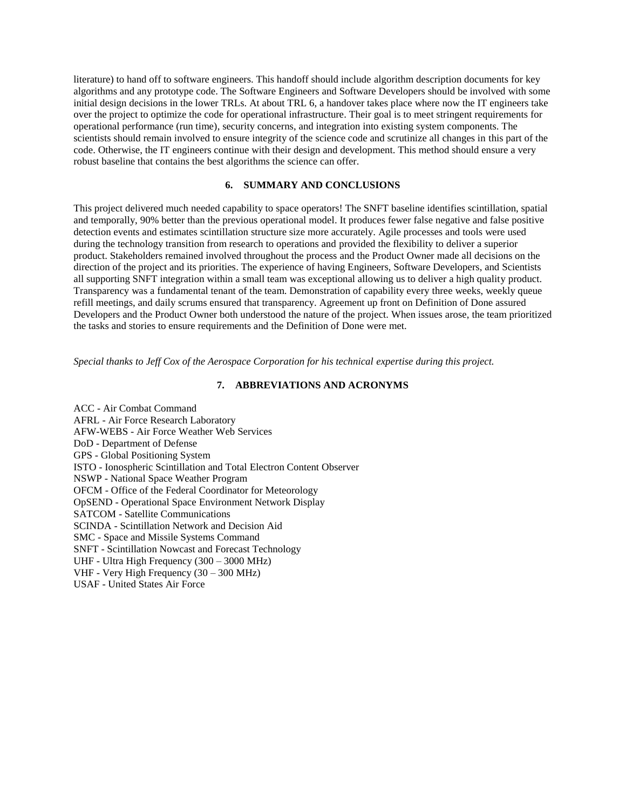literature) to hand off to software engineers. This handoff should include algorithm description documents for key algorithms and any prototype code. The Software Engineers and Software Developers should be involved with some initial design decisions in the lower TRLs. At about TRL 6, a handover takes place where now the IT engineers take over the project to optimize the code for operational infrastructure. Their goal is to meet stringent requirements for operational performance (run time), security concerns, and integration into existing system components. The scientists should remain involved to ensure integrity of the science code and scrutinize all changes in this part of the code. Otherwise, the IT engineers continue with their design and development. This method should ensure a very robust baseline that contains the best algorithms the science can offer.

#### **6. SUMMARY AND CONCLUSIONS**

This project delivered much needed capability to space operators! The SNFT baseline identifies scintillation, spatial and temporally, 90% better than the previous operational model. It produces fewer false negative and false positive detection events and estimates scintillation structure size more accurately. Agile processes and tools were used during the technology transition from research to operations and provided the flexibility to deliver a superior product. Stakeholders remained involved throughout the process and the Product Owner made all decisions on the direction of the project and its priorities. The experience of having Engineers, Software Developers, and Scientists all supporting SNFT integration within a small team was exceptional allowing us to deliver a high quality product. Transparency was a fundamental tenant of the team. Demonstration of capability every three weeks, weekly queue refill meetings, and daily scrums ensured that transparency. Agreement up front on Definition of Done assured Developers and the Product Owner both understood the nature of the project. When issues arose, the team prioritized the tasks and stories to ensure requirements and the Definition of Done were met.

*Special thanks to Jeff Cox of the Aerospace Corporation for his technical expertise during this project.*

#### **7. ABBREVIATIONS AND ACRONYMS**

ACC - Air Combat Command AFRL - Air Force Research Laboratory AFW-WEBS - Air Force Weather Web Services DoD - Department of Defense GPS - Global Positioning System ISTO - Ionospheric Scintillation and Total Electron Content Observer NSWP - National Space Weather Program OFCM - Office of the Federal Coordinator for Meteorology OpSEND - Operational Space Environment Network Display SATCOM - Satellite Communications SCINDA - Scintillation Network and Decision Aid SMC - Space and Missile Systems Command SNFT - Scintillation Nowcast and Forecast Technology UHF - Ultra High Frequency (300 – 3000 MHz) VHF - Very High Frequency (30 – 300 MHz) USAF - United States Air Force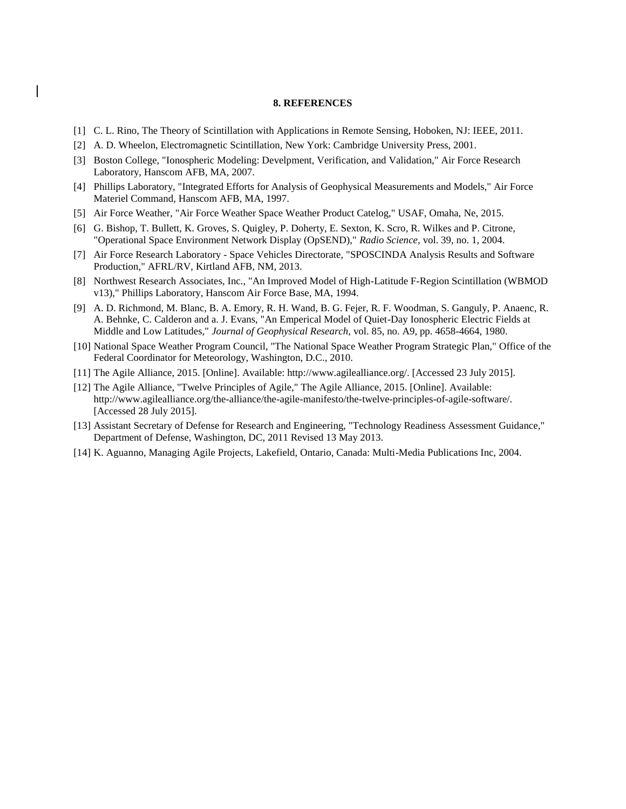#### **8. REFERENCES**

- [1] C. L. Rino, The Theory of Scintillation with Applications in Remote Sensing, Hoboken, NJ: IEEE, 2011.
- [2] A. D. Wheelon, Electromagnetic Scintillation, New York: Cambridge University Press, 2001.
- [3] Boston College, "Ionospheric Modeling: Develpment, Verification, and Validation," Air Force Research Laboratory, Hanscom AFB, MA, 2007.
- [4] Phillips Laboratory, "Integrated Efforts for Analysis of Geophysical Measurements and Models," Air Force Materiel Command, Hanscom AFB, MA, 1997.
- [5] Air Force Weather, "Air Force Weather Space Weather Product Catelog," USAF, Omaha, Ne, 2015.
- [6] G. Bishop, T. Bullett, K. Groves, S. Quigley, P. Doherty, E. Sexton, K. Scro, R. Wilkes and P. Citrone, "Operational Space Environment Network Display (OpSEND)," *Radio Science,* vol. 39, no. 1, 2004.
- [7] Air Force Research Laboratory Space Vehicles Directorate, "SPOSCINDA Analysis Results and Software Production," AFRL/RV, Kirtland AFB, NM, 2013.
- [8] Northwest Research Associates, Inc., "An Improved Model of High-Latitude F-Region Scintillation (WBMOD v13)," Phillips Laboratory, Hanscom Air Force Base, MA, 1994.
- [9] A. D. Richmond, M. Blanc, B. A. Emory, R. H. Wand, B. G. Fejer, R. F. Woodman, S. Ganguly, P. Anaenc, R. A. Behnke, C. Calderon and a. J. Evans, "An Emperical Model of Quiet-Day Ionospheric Electric Fields at Middle and Low Latitudes," *Journal of Geophysical Research,* vol. 85, no. A9, pp. 4658-4664, 1980.
- [10] National Space Weather Program Council, "The National Space Weather Program Strategic Plan," Office of the Federal Coordinator for Meteorology, Washington, D.C., 2010.
- [11] The Agile Alliance, 2015. [Online]. Available: http://www.agilealliance.org/. [Accessed 23 July 2015].
- [12] The Agile Alliance, "Twelve Principles of Agile," The Agile Alliance, 2015. [Online]. Available: http://www.agilealliance.org/the-alliance/the-agile-manifesto/the-twelve-principles-of-agile-software/. [Accessed 28 July 2015].
- [13] Assistant Secretary of Defense for Research and Engineering, "Technology Readiness Assessment Guidance," Department of Defense, Washington, DC, 2011 Revised 13 May 2013.
- [14] K. Aguanno, Managing Agile Projects, Lakefield, Ontario, Canada: Multi-Media Publications Inc, 2004.